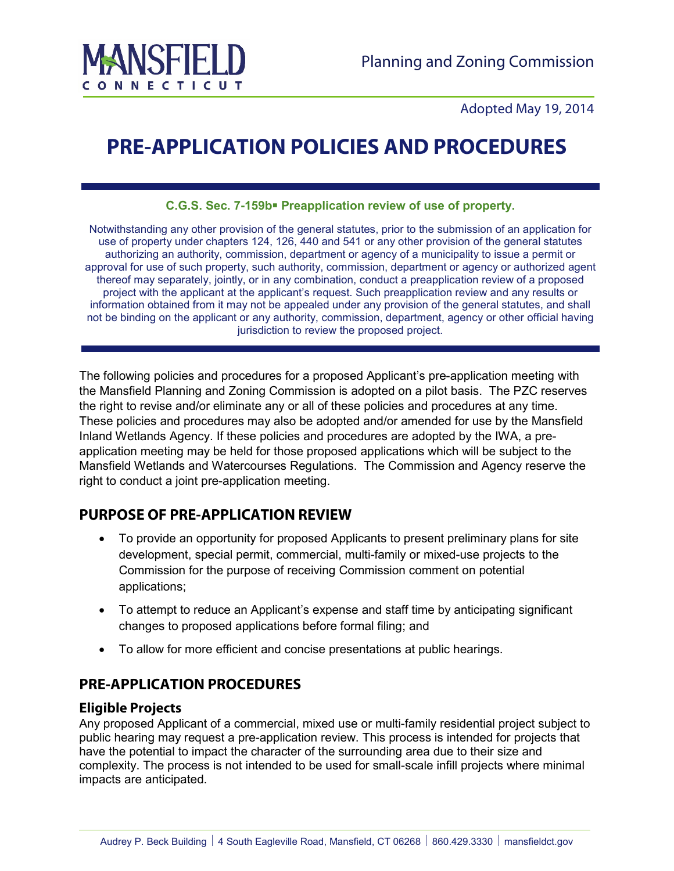

Adopted May 19, 2014

# **PRE-APPLICATION POLICIES AND PROCEDURES**

**C.G.S. Sec. 7-159b Preapplication review of use of property.** 

Notwithstanding any other provision of the general statutes, prior to the submission of an application for use of property under chapters 124, 126, 440 and 541 or any other provision of the general statutes authorizing an authority, commission, department or agency of a municipality to issue a permit or approval for use of such property, such authority, commission, department or agency or authorized agent thereof may separately, jointly, or in any combination, conduct a preapplication review of a proposed project with the applicant at the applicant's request. Such preapplication review and any results or information obtained from it may not be appealed under any provision of the general statutes, and shall not be binding on the applicant or any authority, commission, department, agency or other official having jurisdiction to review the proposed project.

The following policies and procedures for a proposed Applicant's pre-application meeting with the Mansfield Planning and Zoning Commission is adopted on a pilot basis. The PZC reserves the right to revise and/or eliminate any or all of these policies and procedures at any time. These policies and procedures may also be adopted and/or amended for use by the Mansfield Inland Wetlands Agency. If these policies and procedures are adopted by the IWA, a preapplication meeting may be held for those proposed applications which will be subject to the Mansfield Wetlands and Watercourses Regulations. The Commission and Agency reserve the right to conduct a joint pre-application meeting.

# **PURPOSE OF PRE-APPLICATION REVIEW**

- To provide an opportunity for proposed Applicants to present preliminary plans for site development, special permit, commercial, multi-family or mixed-use projects to the Commission for the purpose of receiving Commission comment on potential applications;
- To attempt to reduce an Applicant's expense and staff time by anticipating significant changes to proposed applications before formal filing; and
- To allow for more efficient and concise presentations at public hearings.

# **PRE-APPLICATION PROCEDURES**

#### **Eligible Projects**

Any proposed Applicant of a commercial, mixed use or multi-family residential project subject to public hearing may request a pre-application review. This process is intended for projects that have the potential to impact the character of the surrounding area due to their size and complexity. The process is not intended to be used for small-scale infill projects where minimal impacts are anticipated.